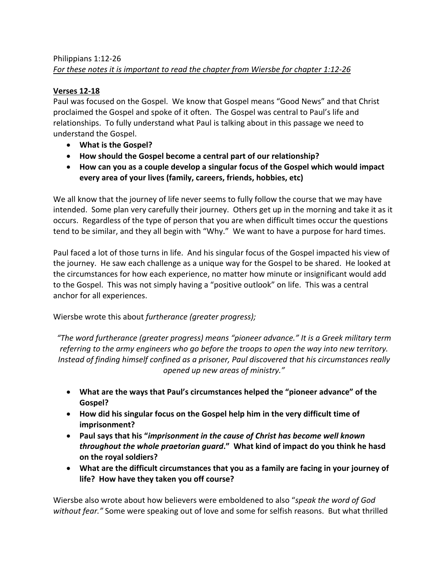## Philippians 1:12-26 *For these notes it is important to read the chapter from Wiersbe for chapter 1:12-26*

## **Verses 12-18**

Paul was focused on the Gospel. We know that Gospel means "Good News" and that Christ proclaimed the Gospel and spoke of it often. The Gospel was central to Paul's life and relationships. To fully understand what Paul is talking about in this passage we need to understand the Gospel.

- **What is the Gospel?**
- **How should the Gospel become a central part of our relationship?**
- **How can you as a couple develop a singular focus of the Gospel which would impact every area of your lives (family, careers, friends, hobbies, etc)**

We all know that the journey of life never seems to fully follow the course that we may have intended. Some plan very carefully their journey. Others get up in the morning and take it as it occurs. Regardless of the type of person that you are when difficult times occur the questions tend to be similar, and they all begin with "Why." We want to have a purpose for hard times.

Paul faced a lot of those turns in life. And his singular focus of the Gospel impacted his view of the journey. He saw each challenge as a unique way for the Gospel to be shared. He looked at the circumstances for how each experience, no matter how minute or insignificant would add to the Gospel. This was not simply having a "positive outlook" on life. This was a central anchor for all experiences.

Wiersbe wrote this about *furtherance (greater progress);*

*"The word furtherance (greater progress) means "pioneer advance." It is a Greek military term referring to the army engineers who go before the troops to open the way into new territory. Instead of finding himself confined as a prisoner, Paul discovered that his circumstances really opened up new areas of ministry."*

- **What are the ways that Paul's circumstances helped the "pioneer advance" of the Gospel?**
- **How did his singular focus on the Gospel help him in the very difficult time of imprisonment?**
- **Paul says that his "***imprisonment in the cause of Christ has become well known throughout the whole praetorian guard***." What kind of impact do you think he hasd on the royal soldiers?**
- **What are the difficult circumstances that you as a family are facing in your journey of life? How have they taken you off course?**

Wiersbe also wrote about how believers were emboldened to also "*speak the word of God without fear."* Some were speaking out of love and some for selfish reasons. But what thrilled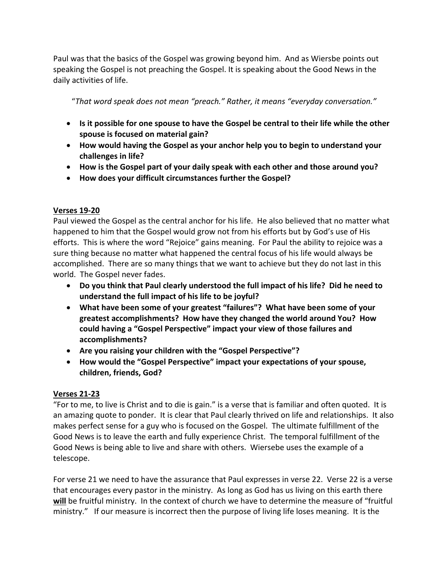Paul was that the basics of the Gospel was growing beyond him. And as Wiersbe points out speaking the Gospel is not preaching the Gospel. It is speaking about the Good News in the daily activities of life.

"*That word speak does not mean "preach." Rather, it means "everyday conversation."*

- **Is it possible for one spouse to have the Gospel be central to their life while the other spouse is focused on material gain?**
- **How would having the Gospel as your anchor help you to begin to understand your challenges in life?**
- **How is the Gospel part of your daily speak with each other and those around you?**
- **How does your difficult circumstances further the Gospel?**

## **Verses 19-20**

Paul viewed the Gospel as the central anchor for his life. He also believed that no matter what happened to him that the Gospel would grow not from his efforts but by God's use of His efforts. This is where the word "Rejoice" gains meaning. For Paul the ability to rejoice was a sure thing because no matter what happened the central focus of his life would always be accomplished. There are so many things that we want to achieve but they do not last in this world. The Gospel never fades.

- **Do you think that Paul clearly understood the full impact of his life? Did he need to understand the full impact of his life to be joyful?**
- **What have been some of your greatest "failures"? What have been some of your greatest accomplishments? How have they changed the world around You? How could having a "Gospel Perspective" impact your view of those failures and accomplishments?**
- **Are you raising your children with the "Gospel Perspective"?**
- **How would the "Gospel Perspective" impact your expectations of your spouse, children, friends, God?**

## **Verses 21-23**

"For to me, to live is Christ and to die is gain." is a verse that is familiar and often quoted. It is an amazing quote to ponder. It is clear that Paul clearly thrived on life and relationships. It also makes perfect sense for a guy who is focused on the Gospel. The ultimate fulfillment of the Good News is to leave the earth and fully experience Christ. The temporal fulfillment of the Good News is being able to live and share with others. Wiersebe uses the example of a telescope.

For verse 21 we need to have the assurance that Paul expresses in verse 22. Verse 22 is a verse that encourages every pastor in the ministry. As long as God has us living on this earth there **will** be fruitful ministry. In the context of church we have to determine the measure of "fruitful ministry." If our measure is incorrect then the purpose of living life loses meaning. It is the